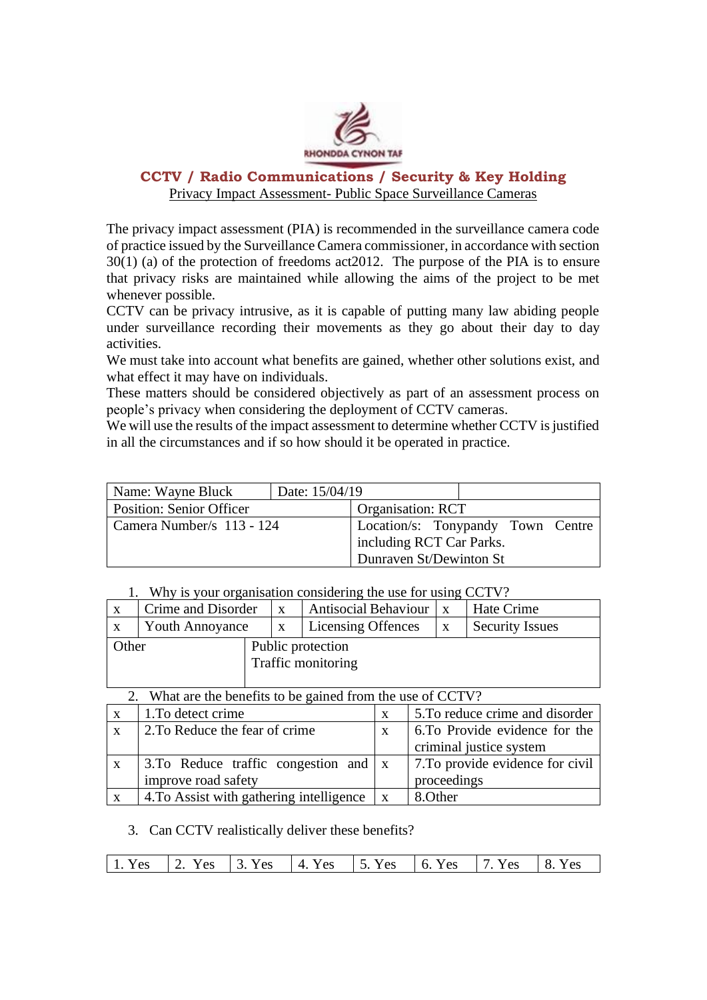

# **CCTV / Radio Communications / Security & Key Holding**  Privacy Impact Assessment- Public Space Surveillance Cameras

The privacy impact assessment (PIA) is recommended in the surveillance camera code of practice issued by the Surveillance Camera commissioner, in accordance with section 30(1) (a) of the protection of freedoms act2012. The purpose of the PIA is to ensure that privacy risks are maintained while allowing the aims of the project to be met whenever possible.

CCTV can be privacy intrusive, as it is capable of putting many law abiding people under surveillance recording their movements as they go about their day to day activities.

We must take into account what benefits are gained, whether other solutions exist, and what effect it may have on individuals.

These matters should be considered objectively as part of an assessment process on people's privacy when considering the deployment of CCTV cameras.

We will use the results of the impact assessment to determine whether CCTV is justified in all the circumstances and if so how should it be operated in practice.

| Name: Wayne Bluck               | Date: 15/04/19 |                                   |  |  |
|---------------------------------|----------------|-----------------------------------|--|--|
| <b>Position: Senior Officer</b> |                | <b>Organisation: RCT</b>          |  |  |
| Camera Number/s 113 - 124       |                | Location/s: Tonypandy Town Centre |  |  |
|                                 |                | including RCT Car Parks.          |  |  |
|                                 |                | Dunraven St/Dewinton St           |  |  |

#### 1. Why is your organisation considering the use for using CCTV?

|       | Crime and Disorder     |                   | $\mathbf{X}$ | Antisocial Behaviour   x |  | Hate Crime      |
|-------|------------------------|-------------------|--------------|--------------------------|--|-----------------|
|       | <b>Youth Annoyance</b> |                   | $\mathbf{X}$ | Licensing Offences       |  | Security Issues |
| Other |                        | Public protection |              |                          |  |                 |
|       | Traffic monitoring     |                   |              |                          |  |                 |
|       |                        |                   |              |                          |  |                 |

## 2. What are the benefits to be gained from the use of CCTV?

| $\mathbf{X}$ | 1. To detect crime                                         |              | 5. To reduce crime and disorder  |
|--------------|------------------------------------------------------------|--------------|----------------------------------|
| X            | 2. To Reduce the fear of crime                             | X            | 6. To Provide evidence for the   |
|              |                                                            |              | criminal justice system          |
| $\mathbf{X}$ | $\vert$ 3.To Reduce traffic congestion and $\vert x \vert$ |              | 7. To provide evidence for civil |
|              | improve road safety                                        |              | proceedings                      |
|              | 4. To Assist with gathering intelligence                   | $\mathbf{X}$ | 8. Other                         |

### 3. Can CCTV realistically deliver these benefits?

| 1. Yes   2. Yes   3. Yes   4. Yes   5. Yes   6. Yes   7. Yes   8. Yes |
|-----------------------------------------------------------------------|
|-----------------------------------------------------------------------|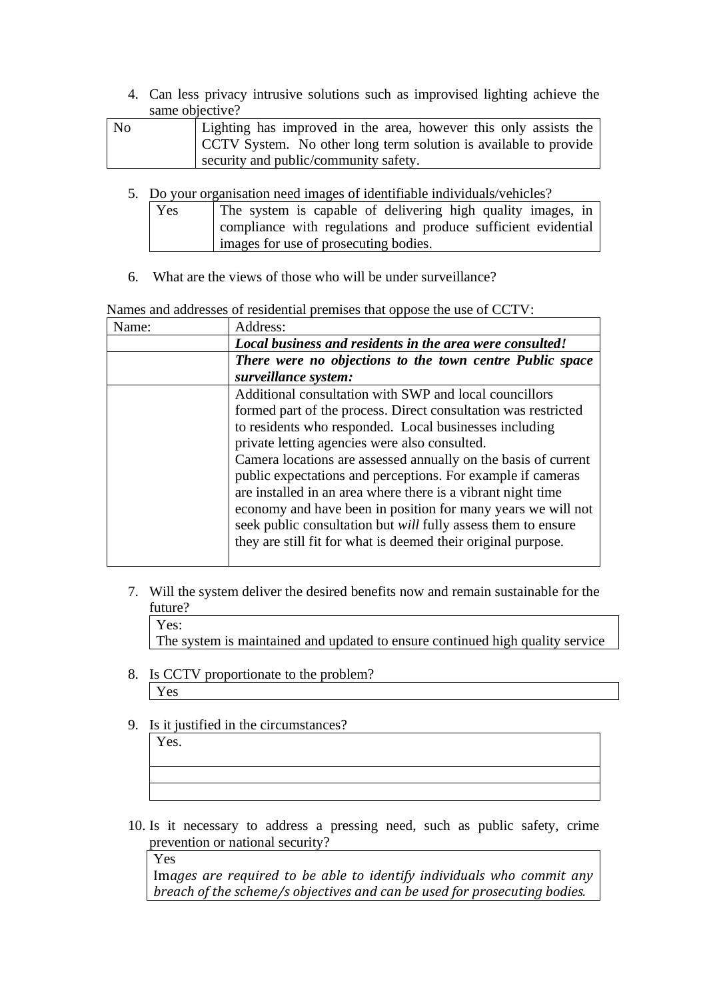4. Can less privacy intrusive solutions such as improvised lighting achieve the same objective?

| No | Lighting has improved in the area, however this only assists the |  |  |
|----|------------------------------------------------------------------|--|--|
|    | CCTV System. No other long term solution is available to provide |  |  |
|    | security and public/community safety.                            |  |  |

5. Do your organisation need images of identifiable individuals/vehicles?

| Yes | The system is capable of delivering high quality images, in   |  |  |
|-----|---------------------------------------------------------------|--|--|
|     | compliance with regulations and produce sufficient evidential |  |  |
|     | images for use of prosecuting bodies.                         |  |  |

6. What are the views of those who will be under surveillance?

Names and addresses of residential premises that oppose the use of CCTV:

| Name: | Address:                                                       |  |
|-------|----------------------------------------------------------------|--|
|       | Local business and residents in the area were consulted!       |  |
|       | There were no objections to the town centre Public space       |  |
|       | surveillance system:                                           |  |
|       | Additional consultation with SWP and local councillors         |  |
|       | formed part of the process. Direct consultation was restricted |  |
|       | to residents who responded. Local businesses including         |  |
|       | private letting agencies were also consulted.                  |  |
|       | Camera locations are assessed annually on the basis of current |  |
|       | public expectations and perceptions. For example if cameras    |  |
|       | are installed in an area where there is a vibrant night time   |  |
|       | economy and have been in position for many years we will not   |  |
|       | seek public consultation but will fully assess them to ensure  |  |
|       | they are still fit for what is deemed their original purpose.  |  |
|       |                                                                |  |

- 7. Will the system deliver the desired benefits now and remain sustainable for the future?
	- Yes:

The system is maintained and updated to ensure continued high quality service

- 8. Is CCTV proportionate to the problem? Yes
- 9. Is it justified in the circumstances?

Yes.

10. Is it necessary to address a pressing need, such as public safety, crime prevention or national security?

Yes

Im*ages are required to be able to identify individuals who commit any breach of the scheme/s objectives and can be used for prosecuting bodies.*